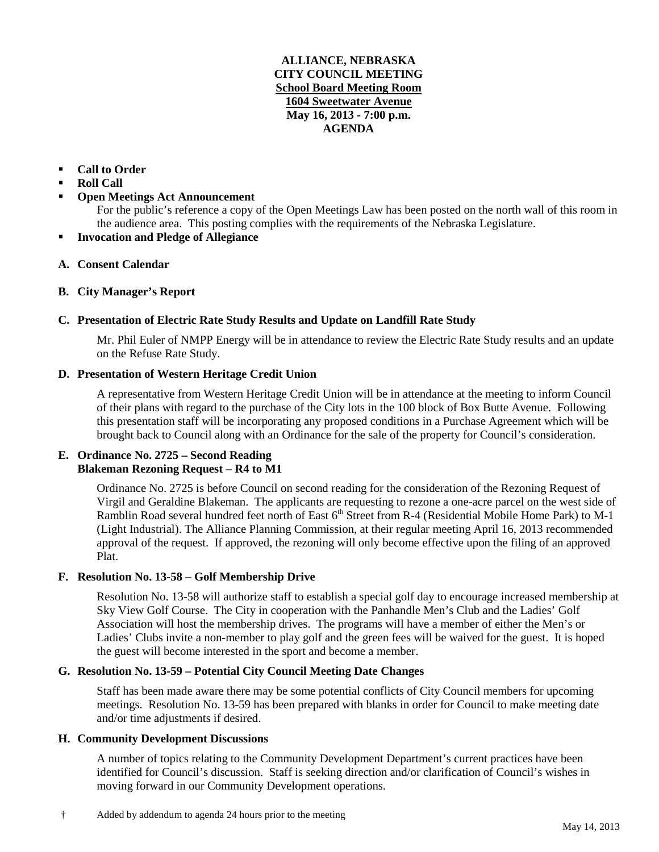## **ALLIANCE, NEBRASKA CITY COUNCIL MEETING School Board Meeting Room 1604 Sweetwater Avenue May 16, 2013 - 7:00 p.m. AGENDA**

# **Call to Order**

- **Roll Call**
- **Open Meetings Act Announcement**

For the public's reference a copy of the Open Meetings Law has been posted on the north wall of this room in the audience area. This posting complies with the requirements of the Nebraska Legislature.

- **Invocation and Pledge of Allegiance**
- **A. Consent Calendar**

# **B. City Manager's Report**

# **C. Presentation of Electric Rate Study Results and Update on Landfill Rate Study**

Mr. Phil Euler of NMPP Energy will be in attendance to review the Electric Rate Study results and an update on the Refuse Rate Study.

## **D. Presentation of Western Heritage Credit Union**

A representative from Western Heritage Credit Union will be in attendance at the meeting to inform Council of their plans with regard to the purchase of the City lots in the 100 block of Box Butte Avenue. Following this presentation staff will be incorporating any proposed conditions in a Purchase Agreement which will be brought back to Council along with an Ordinance for the sale of the property for Council's consideration.

## **E. Ordinance No. 2725 – Second Reading Blakeman Rezoning Request – R4 to M1**

Ordinance No. 2725 is before Council on second reading for the consideration of the Rezoning Request of Virgil and Geraldine Blakeman. The applicants are requesting to rezone a one-acre parcel on the west side of Ramblin Road several hundred feet north of East 6<sup>th</sup> Street from R-4 (Residential Mobile Home Park) to M-1 (Light Industrial). The Alliance Planning Commission, at their regular meeting April 16, 2013 recommended approval of the request. If approved, the rezoning will only become effective upon the filing of an approved Plat.

### **F. Resolution No. 13-58 – Golf Membership Drive**

Resolution No. 13-58 will authorize staff to establish a special golf day to encourage increased membership at Sky View Golf Course. The City in cooperation with the Panhandle Men's Club and the Ladies' Golf Association will host the membership drives. The programs will have a member of either the Men's or Ladies' Clubs invite a non-member to play golf and the green fees will be waived for the guest. It is hoped the guest will become interested in the sport and become a member.

# **G. Resolution No. 13-59 – Potential City Council Meeting Date Changes**

Staff has been made aware there may be some potential conflicts of City Council members for upcoming meetings. Resolution No. 13-59 has been prepared with blanks in order for Council to make meeting date and/or time adjustments if desired.

### **H. Community Development Discussions**

A number of topics relating to the Community Development Department's current practices have been identified for Council's discussion. Staff is seeking direction and/or clarification of Council's wishes in moving forward in our Community Development operations.